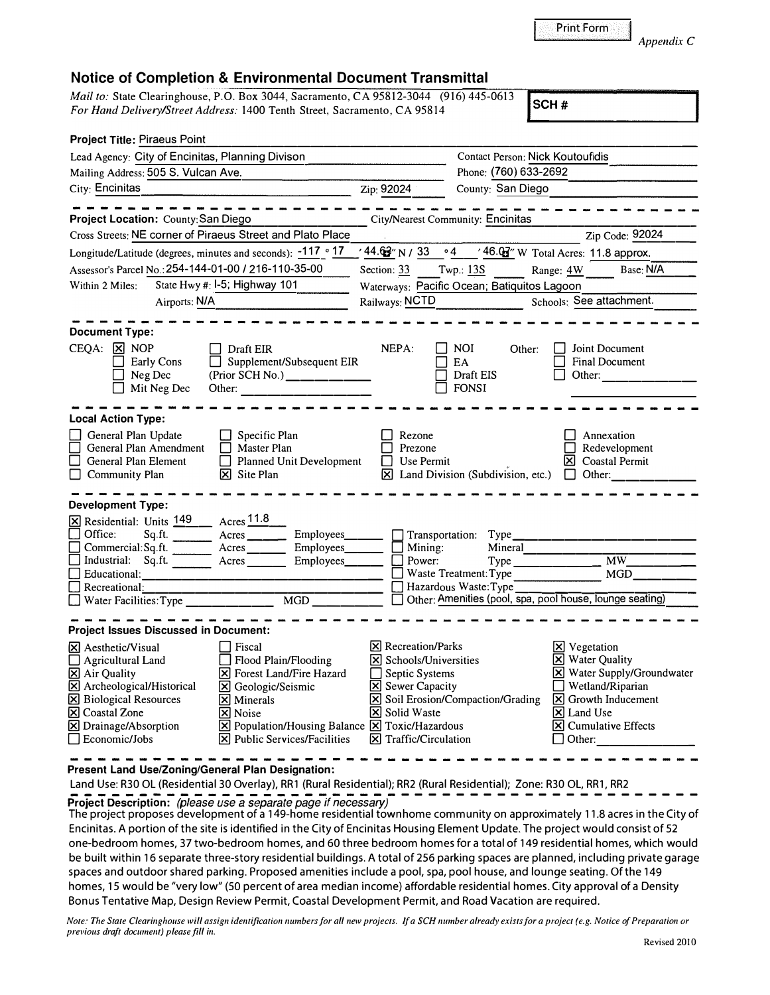Print Form

## **Notice of Completion & Environmental Document Transmittal**

*Mail to:* State Clearinghouse, P.O. Box 3044, Sacramento, CA 95812-3044 (916) 445-0613 *For Hand Delivery/Street Address:* 1400 Tenth Street, Sacramento, CA 95814 **SCH # SCH #** 

| <b>Project Title: Piraeus Point</b>                                                                                                                                                                                                                                                                                                                                                                                                                                                                                 |                                                                                                                                                                                                        |                                                                                                                                                                                                                                   |  |
|---------------------------------------------------------------------------------------------------------------------------------------------------------------------------------------------------------------------------------------------------------------------------------------------------------------------------------------------------------------------------------------------------------------------------------------------------------------------------------------------------------------------|--------------------------------------------------------------------------------------------------------------------------------------------------------------------------------------------------------|-----------------------------------------------------------------------------------------------------------------------------------------------------------------------------------------------------------------------------------|--|
| Lead Agency: City of Encinitas, Planning Divison                                                                                                                                                                                                                                                                                                                                                                                                                                                                    |                                                                                                                                                                                                        | <b>Contact Person: Nick Koutoufidis</b>                                                                                                                                                                                           |  |
| Mailing Address: 505 S. Vulcan Ave.                                                                                                                                                                                                                                                                                                                                                                                                                                                                                 |                                                                                                                                                                                                        | Phone: (760) 633-2692                                                                                                                                                                                                             |  |
| City: Encinitas                                                                                                                                                                                                                                                                                                                                                                                                                                                                                                     | Zip: 92024<br>County: San Diego                                                                                                                                                                        |                                                                                                                                                                                                                                   |  |
|                                                                                                                                                                                                                                                                                                                                                                                                                                                                                                                     |                                                                                                                                                                                                        |                                                                                                                                                                                                                                   |  |
| Project Location: County: San Diego                                                                                                                                                                                                                                                                                                                                                                                                                                                                                 | City/Nearest Community: Encinitas                                                                                                                                                                      |                                                                                                                                                                                                                                   |  |
| Cross Streets: NE corner of Piraeus Street and Plato Place                                                                                                                                                                                                                                                                                                                                                                                                                                                          |                                                                                                                                                                                                        | Zip Code: 92024                                                                                                                                                                                                                   |  |
| Longitude/Latitude (degrees, minutes and seconds): -117 ° 17                                                                                                                                                                                                                                                                                                                                                                                                                                                        | $\frac{1}{44.62}$ N / 33 $\degree$ 4 $\frac{46.02}{2}$ W Total Acres: 11.8 approx.                                                                                                                     |                                                                                                                                                                                                                                   |  |
| Assessor's Parcel No.: 254-144-01-00 / 216-110-35-00                                                                                                                                                                                                                                                                                                                                                                                                                                                                | Twp.: $13S$<br>Section: $33$                                                                                                                                                                           | Base: N/A<br>Range: 4W                                                                                                                                                                                                            |  |
| State Hwy #: I-5; Highway 101<br>Within 2 Miles:                                                                                                                                                                                                                                                                                                                                                                                                                                                                    | Waterways: Pacific Ocean; Batiquitos Lagoon                                                                                                                                                            |                                                                                                                                                                                                                                   |  |
| Airports: N/A                                                                                                                                                                                                                                                                                                                                                                                                                                                                                                       | Railways: NCTD Schools: See attachment.                                                                                                                                                                |                                                                                                                                                                                                                                   |  |
| <b>Document Type:</b>                                                                                                                                                                                                                                                                                                                                                                                                                                                                                               |                                                                                                                                                                                                        |                                                                                                                                                                                                                                   |  |
| $\Box$ Draft EIR<br>$CEQA: \times NOP$<br>Supplement/Subsequent EIR<br>Early Cons<br>$(Prior SCH No.)$ _________<br>Neg Dec<br>Mit Neg Dec<br>Other: $\qquad \qquad \qquad$                                                                                                                                                                                                                                                                                                                                         | NEPA:<br><b>NOI</b><br>Other:<br>EA<br>Draft EIS<br><b>FONSI</b>                                                                                                                                       | Joint Document<br><b>Final Document</b><br>Other:                                                                                                                                                                                 |  |
| <b>Local Action Type:</b>                                                                                                                                                                                                                                                                                                                                                                                                                                                                                           |                                                                                                                                                                                                        |                                                                                                                                                                                                                                   |  |
| General Plan Update<br>$\Box$ Specific Plan<br>General Plan Amendment<br>Master Plan<br><b>Planned Unit Development</b><br>General Plan Element<br>$\Box$ Community Plan<br>$ \mathbf{\nabla} $ Site Plan                                                                                                                                                                                                                                                                                                           | Rezone<br>Prezone<br>$\Box$ Use Permit<br>$\boxtimes$ Land Division (Subdivision, etc.) $\Box$ Other:                                                                                                  | Annexation<br>Redevelopment<br>$ \mathbf{\nabla} $ Coastal Permit                                                                                                                                                                 |  |
| Development Type:                                                                                                                                                                                                                                                                                                                                                                                                                                                                                                   |                                                                                                                                                                                                        |                                                                                                                                                                                                                                   |  |
| X Residential: Units 149 __ Acres 11.8<br>Sq.ft. Acres Employees<br>Office:<br>Commercial: Sq.ft. _________ Acres __________ Employees_______<br>$\Box$ Industrial: Sq.ft. $\Box$<br>A <sub>cres</sub><br>Employees____<br>Educational:<br>Recreational:                                                                                                                                                                                                                                                            | Transportation: Type_<br>Mineral <sub>_____</sub> ___<br>Mining:<br>Power:<br>$\Box$ Waste Treatment: Type<br>Hazardous Waste: Type<br>Other: Amenities (pool, spa, pool house, lounge seating)        | $\overline{MW}$<br><b>MGD</b>                                                                                                                                                                                                     |  |
| <b>Project Issues Discussed in Document:</b>                                                                                                                                                                                                                                                                                                                                                                                                                                                                        |                                                                                                                                                                                                        |                                                                                                                                                                                                                                   |  |
| $\overline{\mathsf{x}}$ Aesthetic/Visual<br>Fiscal<br>$\Box$ Agricultural Land<br>Flood Plain/Flooding<br>X Air Quality<br><b>X</b> Forest Land/Fire Hazard<br>$\boxtimes$ Archeological/Historical<br>X Geologic/Seismic<br>$\boxtimes$ Biological Resources<br>$\vert \mathsf{x} \vert$ Minerals<br><b>X</b> Coastal Zone<br><b>X</b> Noise<br>X Drainage/Absorption<br>$[\times]$ Population/Housing Balance $[\times]$ Toxic/Hazardous<br>Economic/Jobs<br>$ \mathbf{\overline{x}} $ Public Services/Facilities | $[\times]$ Recreation/Parks<br><b>X</b> Schools/Universities<br>Septic Systems<br><b>X</b> Sewer Capacity<br><b>X</b> Soil Erosion/Compaction/Grading<br><b>X</b> Solid Waste<br>X Traffic/Circulation | <b>X</b> Vegetation<br>X Water Quality<br>X Water Supply/Groundwater<br>Wetland/Riparian<br>$\boxed{\mathbf{X}}$ Growth Inducement<br>$\vert \mathsf{x} \vert$ Land Use<br>$ \mathbf{\overline{X}} $ Cumulative Effects<br>Other: |  |

**Present Land Use/Zoning/General Plan Designation:** 

Land Use: R30 OL (Residential 30 Overlay), RR1 (Rural Residential); RR2 (Rural Residential); Zone: R30 OL, RR1, RR2 **Project Description:** *(please use a separate page if necessary)* 

The project proposes development of a 149-home residential town home community on approximately 11.8 acres in the City of Encinitas. A portion of the site is identified in the City of Encinitas Housing Element Update. The project would consist of 52 one-bedroom homes, 37 two-bedroom homes, and 60 three bedroom homes for a total of 149 residential homes, which would be built within 16 separate three-story residential buildings. A total of 256 parking spaces are planned, including private garage spaces and outdoor shared parking. Proposed amenities include a pool, spa, pool house, and lounge seating. Of the 149 homes, 15 would be "very low" (SO percent of area median income) affordable residential homes. City approval of a Density Bonus Tentative Map, Design Review Permit, Coastal Development Permit, and Road Vacation are required.

*Note: The State Clearinghouse will assign identification numbers for all new projects. If a SCH number already exists for a project ( e.g. Notice of Preparation or previous draft document) please fill in.* 

*Appendix C*